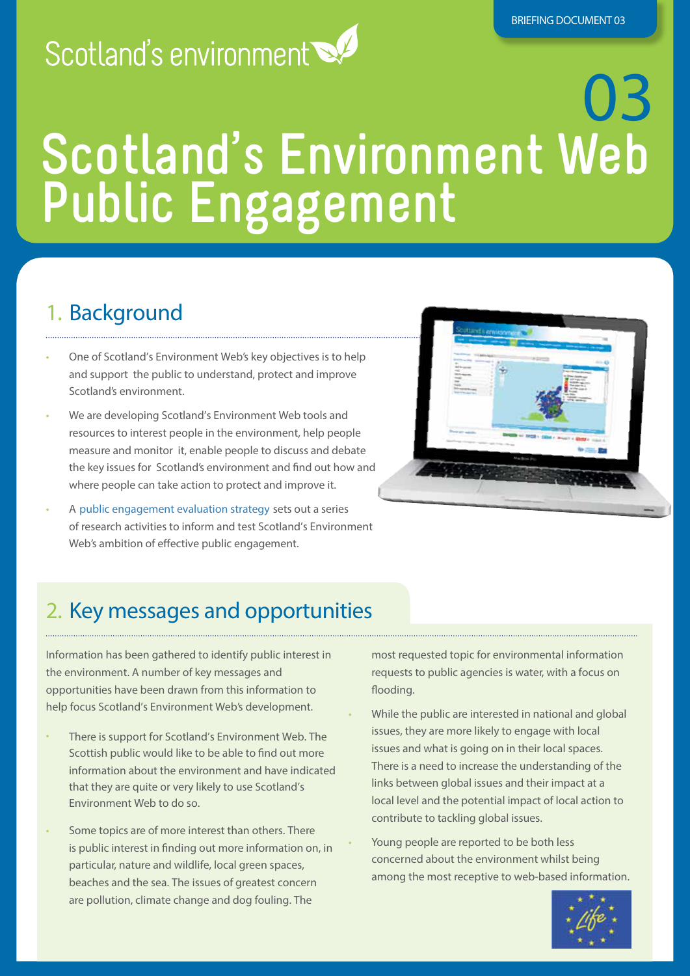## Scotland's environment

# 03 **Scotland's Environment Web Public Engagement**

### 1. Background

- One of Scotland's Environment Web's key objectives is to help and support the public to understand, protect and improve Scotland's environment.
- We are developing Scotland's Environment Web tools and resources to interest people in the environment, help people measure and monitor it, enable people to discuss and debate the key issues for Scotland's environment and find out how and where people can take action to protect and improve it.
- A [public engagement evaluation strategy](http://www.environment.scotland.gov.uk/life_project/idoc.ashx?docid=af5b39fc-25d4-40f1-8009-04254e4bd0fb&version=-1) sets out a series of research activities to inform and test Scotland's Environment Web's ambition of effective public engagement.



### 2. Key messages and opportunities

Information has been gathered to identify public interest in the environment. A number of key messages and opportunities have been drawn from this information to help focus Scotland's Environment Web's development.

- There is support for Scotland's Environment Web. The Scottish public would like to be able to find out more information about the environment and have indicated that they are quite or very likely to use Scotland's Environment Web to do so.
- Some topics are of more interest than others. There is public interest in finding out more information on, in particular, nature and wildlife, local green spaces, beaches and the sea. The issues of greatest concern are pollution, climate change and dog fouling. The

most requested topic for environmental information requests to public agencies is water, with a focus on flooding.

- While the public are interested in national and global issues, they are more likely to engage with local issues and what is going on in their local spaces. There is a need to increase the understanding of the links between global issues and their impact at a local level and the potential impact of local action to contribute to tackling global issues.
- Young people are reported to be both less concerned about the environment whilst being among the most receptive to web-based information.